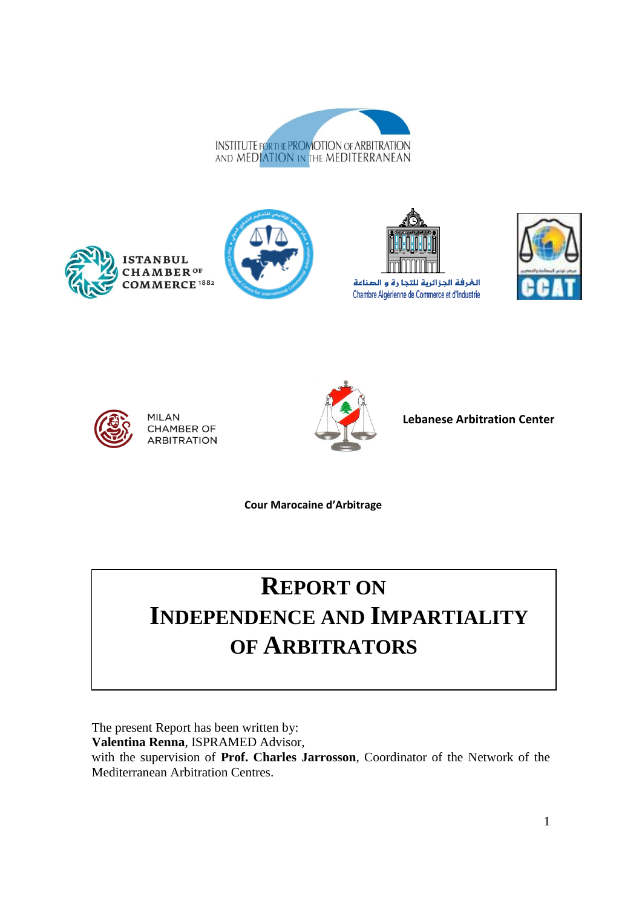











**MILAN CHAMBER OF ARBITRATION** 



**Lebanese Arbitration Center**

**Cour Marocaine d'Arbitrage**

# **REPORT ON**

## **INDEPENDENCE AND IMPARTIALITY OF ARBITRATORS**

The present Report has been written by:

**Valentina Renna**, ISPRAMED Advisor,

with the supervision of **Prof. Charles Jarrosson**, Coordinator of the Network of the Mediterranean Arbitration Centres.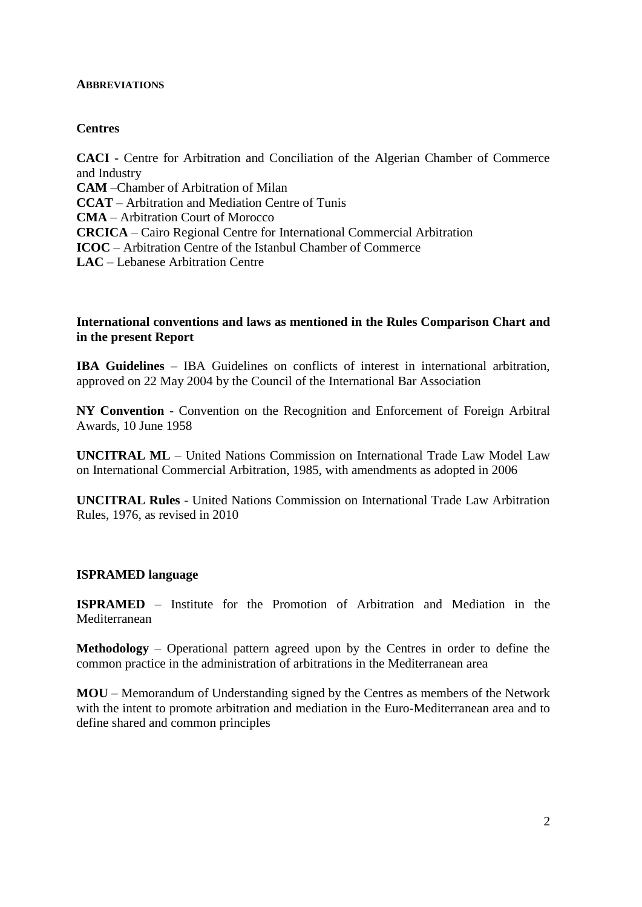#### **ABBREVIATIONS**

### **Centres**

**CACI** - Centre for Arbitration and Conciliation of the Algerian Chamber of Commerce and Industry **CAM** –Chamber of Arbitration of Milan **CCAT** – Arbitration and Mediation Centre of Tunis **CMA** – Arbitration Court of Morocco **CRCICA** – Cairo Regional Centre for International Commercial Arbitration **ICOC** – Arbitration Centre of the Istanbul Chamber of Commerce **LAC** – Lebanese Arbitration Centre

#### **International conventions and laws as mentioned in the Rules Comparison Chart and in the present Report**

**IBA Guidelines** – IBA Guidelines on conflicts of interest in international arbitration, approved on 22 May 2004 by the Council of the International Bar Association

**NY Convention** - Convention on the Recognition and Enforcement of Foreign Arbitral Awards, 10 June 1958

**UNCITRAL ML** – United Nations Commission on International Trade Law Model Law on International Commercial Arbitration, 1985, with amendments as adopted in 2006

**UNCITRAL Rules** - United Nations Commission on International Trade Law Arbitration Rules, 1976, as revised in 2010

#### **ISPRAMED language**

**ISPRAMED** – Institute for the Promotion of Arbitration and Mediation in the Mediterranean

**Methodology** – Operational pattern agreed upon by the Centres in order to define the common practice in the administration of arbitrations in the Mediterranean area

**MOU** – Memorandum of Understanding signed by the Centres as members of the Network with the intent to promote arbitration and mediation in the Euro-Mediterranean area and to define shared and common principles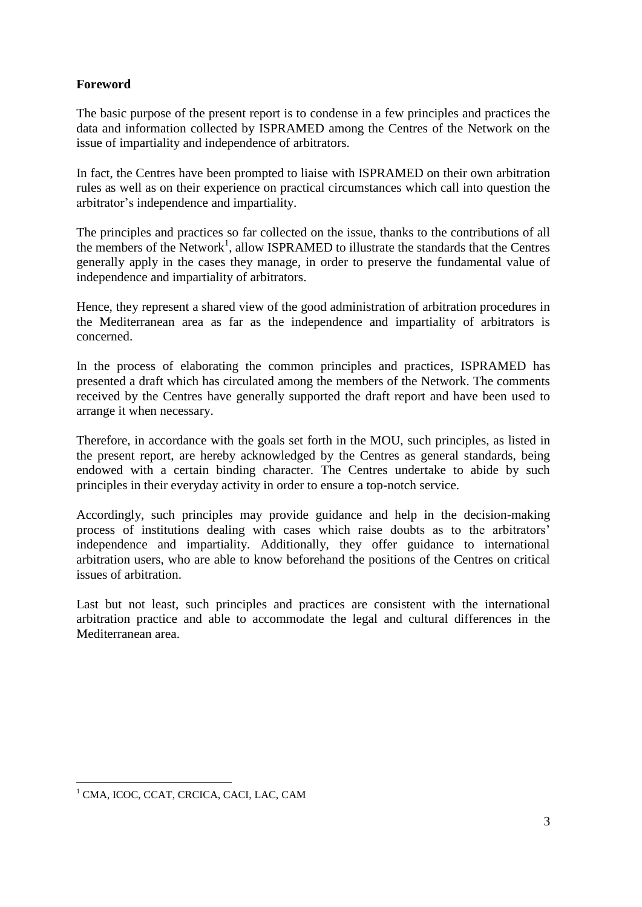## **Foreword**

The basic purpose of the present report is to condense in a few principles and practices the data and information collected by ISPRAMED among the Centres of the Network on the issue of impartiality and independence of arbitrators.

In fact, the Centres have been prompted to liaise with ISPRAMED on their own arbitration rules as well as on their experience on practical circumstances which call into question the arbitrator's independence and impartiality.

The principles and practices so far collected on the issue, thanks to the contributions of all the members of the Network<sup>1</sup>, allow ISPRAMED to illustrate the standards that the Centres generally apply in the cases they manage, in order to preserve the fundamental value of independence and impartiality of arbitrators.

Hence, they represent a shared view of the good administration of arbitration procedures in the Mediterranean area as far as the independence and impartiality of arbitrators is concerned.

In the process of elaborating the common principles and practices, ISPRAMED has presented a draft which has circulated among the members of the Network. The comments received by the Centres have generally supported the draft report and have been used to arrange it when necessary.

Therefore, in accordance with the goals set forth in the MOU, such principles, as listed in the present report, are hereby acknowledged by the Centres as general standards, being endowed with a certain binding character. The Centres undertake to abide by such principles in their everyday activity in order to ensure a top-notch service.

Accordingly, such principles may provide guidance and help in the decision-making process of institutions dealing with cases which raise doubts as to the arbitrators' independence and impartiality. Additionally, they offer guidance to international arbitration users, who are able to know beforehand the positions of the Centres on critical issues of arbitration.

Last but not least, such principles and practices are consistent with the international arbitration practice and able to accommodate the legal and cultural differences in the Mediterranean area.

 $\overline{\phantom{a}}$ <sup>1</sup> CMA, ICOC, CCAT, CRCICA, CACI, LAC, CAM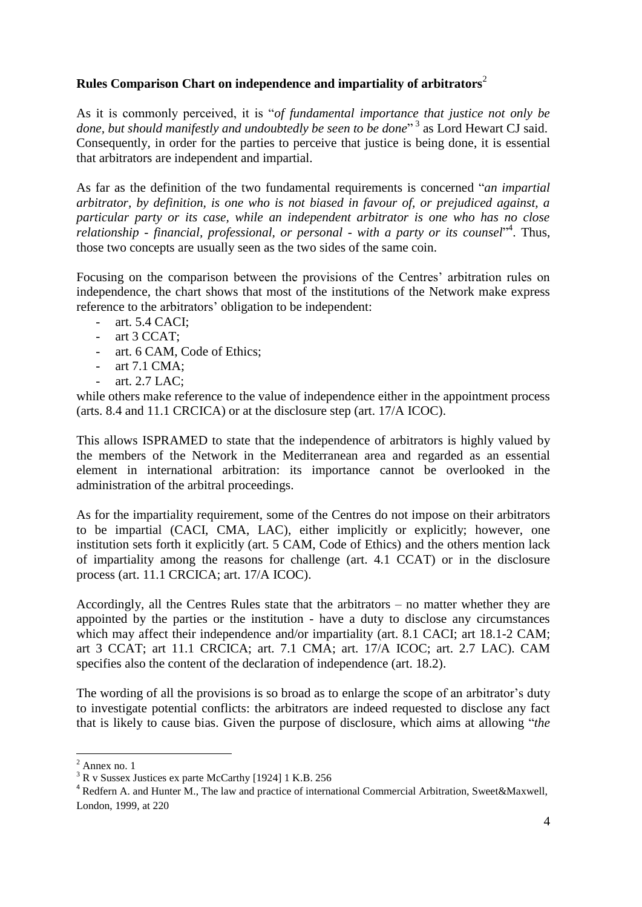## **Rules Comparison Chart on independence and impartiality of arbitrators**<sup>2</sup>

As it is commonly perceived, it is "*of fundamental importance that justice not only be*  done, but should manifestly and undoubtedly be seen to be done<sup>"3</sup> as Lord Hewart CJ said. Consequently, in order for the parties to perceive that justice is being done, it is essential that arbitrators are independent and impartial.

As far as the definition of the two fundamental requirements is concerned "*an impartial arbitrator, by definition, is one who is not biased in favour of, or prejudiced against, a particular party or its case, while an independent arbitrator is one who has no close relationship - financial, professional, or personal - with a party or its counsel*" 4 . Thus, those two concepts are usually seen as the two sides of the same coin.

Focusing on the comparison between the provisions of the Centres' arbitration rules on independence, the chart shows that most of the institutions of the Network make express reference to the arbitrators' obligation to be independent:

- art. 5.4 CACI;
- art 3 CCAT;
- art. 6 CAM, Code of Ethics;
- art 7.1 CMA;
- art. 2.7 LAC:

while others make reference to the value of independence either in the appointment process (arts. 8.4 and 11.1 CRCICA) or at the disclosure step (art. 17/A ICOC).

This allows ISPRAMED to state that the independence of arbitrators is highly valued by the members of the Network in the Mediterranean area and regarded as an essential element in international arbitration: its importance cannot be overlooked in the administration of the arbitral proceedings.

As for the impartiality requirement, some of the Centres do not impose on their arbitrators to be impartial (CACI, CMA, LAC), either implicitly or explicitly; however, one institution sets forth it explicitly (art. 5 CAM, Code of Ethics) and the others mention lack of impartiality among the reasons for challenge (art. 4.1 CCAT) or in the disclosure process (art. 11.1 CRCICA; art. 17/A ICOC).

Accordingly, all the Centres Rules state that the arbitrators – no matter whether they are appointed by the parties or the institution - have a duty to disclose any circumstances which may affect their independence and/or impartiality (art. 8.1 CACI; art 18.1-2 CAM; art 3 CCAT; art 11.1 CRCICA; art. 7.1 CMA; art. 17/A ICOC; art. 2.7 LAC). CAM specifies also the content of the declaration of independence (art. 18.2).

The wording of all the provisions is so broad as to enlarge the scope of an arbitrator's duty to investigate potential conflicts: the arbitrators are indeed requested to disclose any fact that is likely to cause bias. Given the purpose of disclosure, which aims at allowing "*the* 

 $\overline{a}$ 

 $2$  Annex no. 1

 $3 R v$  Sussex Justices ex parte McCarthy [1924] 1 K.B. 256

<sup>&</sup>lt;sup>4</sup> Redfern A. and Hunter M., The law and practice of international Commercial Arbitration, Sweet&Maxwell, London, 1999, at 220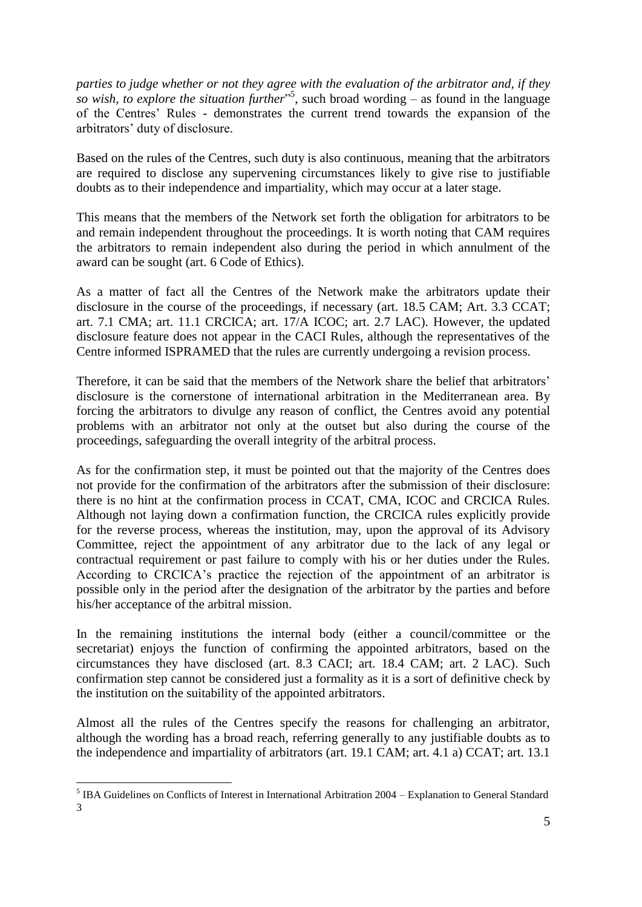*parties to judge whether or not they agree with the evaluation of the arbitrator and, if they so wish, to explore the situation further*" 5 , such broad wording – as found in the language of the Centres' Rules - demonstrates the current trend towards the expansion of the arbitrators' duty of disclosure.

Based on the rules of the Centres, such duty is also continuous, meaning that the arbitrators are required to disclose any supervening circumstances likely to give rise to justifiable doubts as to their independence and impartiality, which may occur at a later stage.

This means that the members of the Network set forth the obligation for arbitrators to be and remain independent throughout the proceedings. It is worth noting that CAM requires the arbitrators to remain independent also during the period in which annulment of the award can be sought (art. 6 Code of Ethics).

As a matter of fact all the Centres of the Network make the arbitrators update their disclosure in the course of the proceedings, if necessary (art. 18.5 CAM; Art. 3.3 CCAT; art. 7.1 CMA; art. 11.1 CRCICA; art. 17/A ICOC; art. 2.7 LAC). However, the updated disclosure feature does not appear in the CACI Rules, although the representatives of the Centre informed ISPRAMED that the rules are currently undergoing a revision process.

Therefore, it can be said that the members of the Network share the belief that arbitrators' disclosure is the cornerstone of international arbitration in the Mediterranean area. By forcing the arbitrators to divulge any reason of conflict, the Centres avoid any potential problems with an arbitrator not only at the outset but also during the course of the proceedings, safeguarding the overall integrity of the arbitral process.

As for the confirmation step, it must be pointed out that the majority of the Centres does not provide for the confirmation of the arbitrators after the submission of their disclosure: there is no hint at the confirmation process in CCAT, CMA, ICOC and CRCICA Rules. Although not laying down a confirmation function, the CRCICA rules explicitly provide for the reverse process, whereas the institution, may, upon the approval of its Advisory Committee, reject the appointment of any arbitrator due to the lack of any legal or contractual requirement or past failure to comply with his or her duties under the Rules. According to CRCICA's practice the rejection of the appointment of an arbitrator is possible only in the period after the designation of the arbitrator by the parties and before his/her acceptance of the arbitral mission.

In the remaining institutions the internal body (either a council/committee or the secretariat) enjoys the function of confirming the appointed arbitrators, based on the circumstances they have disclosed (art. 8.3 CACI; art. 18.4 CAM; art. 2 LAC). Such confirmation step cannot be considered just a formality as it is a sort of definitive check by the institution on the suitability of the appointed arbitrators.

Almost all the rules of the Centres specify the reasons for challenging an arbitrator, although the wording has a broad reach, referring generally to any justifiable doubts as to the independence and impartiality of arbitrators (art. 19.1 CAM; art. 4.1 a) CCAT; art. 13.1

l <sup>5</sup> IBA Guidelines on Conflicts of Interest in International Arbitration 2004 – Explanation to General Standard 3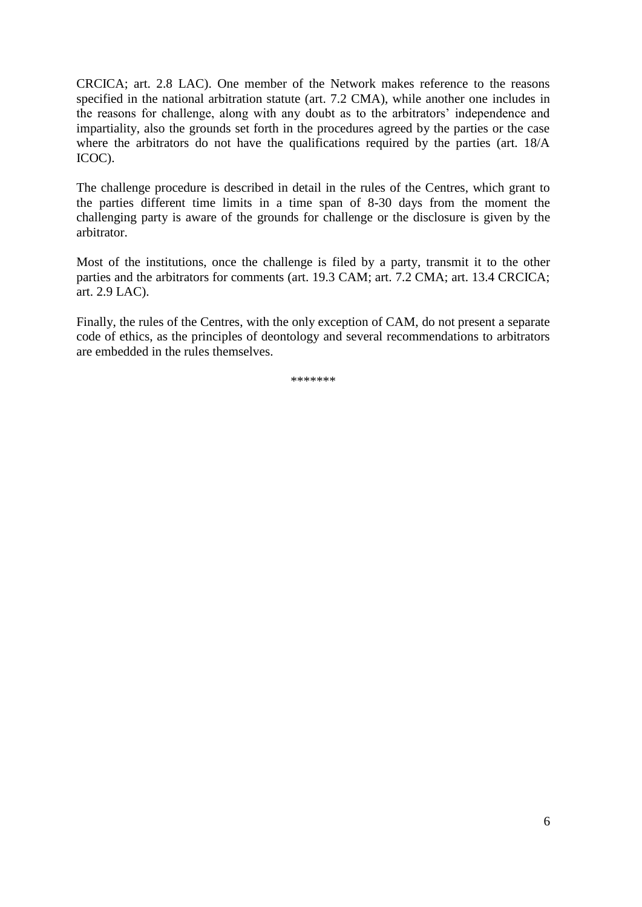CRCICA; art. 2.8 LAC). One member of the Network makes reference to the reasons specified in the national arbitration statute (art. 7.2 CMA), while another one includes in the reasons for challenge, along with any doubt as to the arbitrators' independence and impartiality, also the grounds set forth in the procedures agreed by the parties or the case where the arbitrators do not have the qualifications required by the parties (art. 18/A ICOC).

The challenge procedure is described in detail in the rules of the Centres, which grant to the parties different time limits in a time span of 8-30 days from the moment the challenging party is aware of the grounds for challenge or the disclosure is given by the arbitrator.

Most of the institutions, once the challenge is filed by a party, transmit it to the other parties and the arbitrators for comments (art. 19.3 CAM; art. 7.2 CMA; art. 13.4 CRCICA; art. 2.9 LAC).

Finally, the rules of the Centres, with the only exception of CAM, do not present a separate code of ethics, as the principles of deontology and several recommendations to arbitrators are embedded in the rules themselves.

\*\*\*\*\*\*\*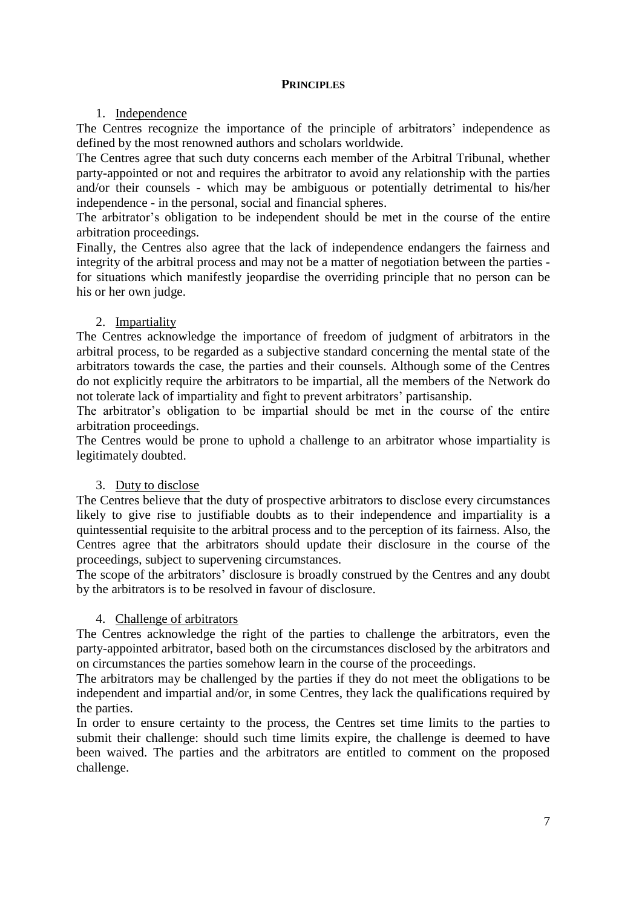## **PRINCIPLES**

### 1. Independence

The Centres recognize the importance of the principle of arbitrators' independence as defined by the most renowned authors and scholars worldwide.

The Centres agree that such duty concerns each member of the Arbitral Tribunal, whether party-appointed or not and requires the arbitrator to avoid any relationship with the parties and/or their counsels - which may be ambiguous or potentially detrimental to his/her independence - in the personal, social and financial spheres.

The arbitrator's obligation to be independent should be met in the course of the entire arbitration proceedings.

Finally, the Centres also agree that the lack of independence endangers the fairness and integrity of the arbitral process and may not be a matter of negotiation between the parties for situations which manifestly jeopardise the overriding principle that no person can be his or her own judge.

## 2. Impartiality

The Centres acknowledge the importance of freedom of judgment of arbitrators in the arbitral process, to be regarded as a subjective standard concerning the mental state of the arbitrators towards the case, the parties and their counsels. Although some of the Centres do not explicitly require the arbitrators to be impartial, all the members of the Network do not tolerate lack of impartiality and fight to prevent arbitrators' partisanship.

The arbitrator's obligation to be impartial should be met in the course of the entire arbitration proceedings.

The Centres would be prone to uphold a challenge to an arbitrator whose impartiality is legitimately doubted.

#### 3. Duty to disclose

The Centres believe that the duty of prospective arbitrators to disclose every circumstances likely to give rise to justifiable doubts as to their independence and impartiality is a quintessential requisite to the arbitral process and to the perception of its fairness. Also, the Centres agree that the arbitrators should update their disclosure in the course of the proceedings, subject to supervening circumstances.

The scope of the arbitrators' disclosure is broadly construed by the Centres and any doubt by the arbitrators is to be resolved in favour of disclosure.

## 4. Challenge of arbitrators

The Centres acknowledge the right of the parties to challenge the arbitrators, even the party-appointed arbitrator, based both on the circumstances disclosed by the arbitrators and on circumstances the parties somehow learn in the course of the proceedings.

The arbitrators may be challenged by the parties if they do not meet the obligations to be independent and impartial and/or, in some Centres, they lack the qualifications required by the parties.

In order to ensure certainty to the process, the Centres set time limits to the parties to submit their challenge: should such time limits expire, the challenge is deemed to have been waived. The parties and the arbitrators are entitled to comment on the proposed challenge.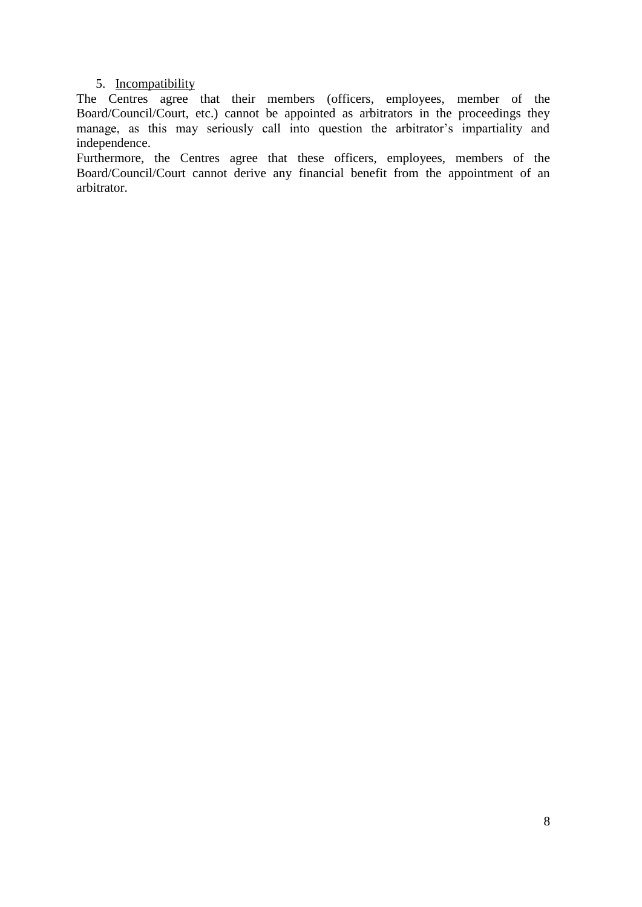## 5. Incompatibility

The Centres agree that their members (officers, employees, member of the Board/Council/Court, etc.) cannot be appointed as arbitrators in the proceedings they manage, as this may seriously call into question the arbitrator's impartiality and independence.

Furthermore, the Centres agree that these officers, employees, members of the Board/Council/Court cannot derive any financial benefit from the appointment of an arbitrator.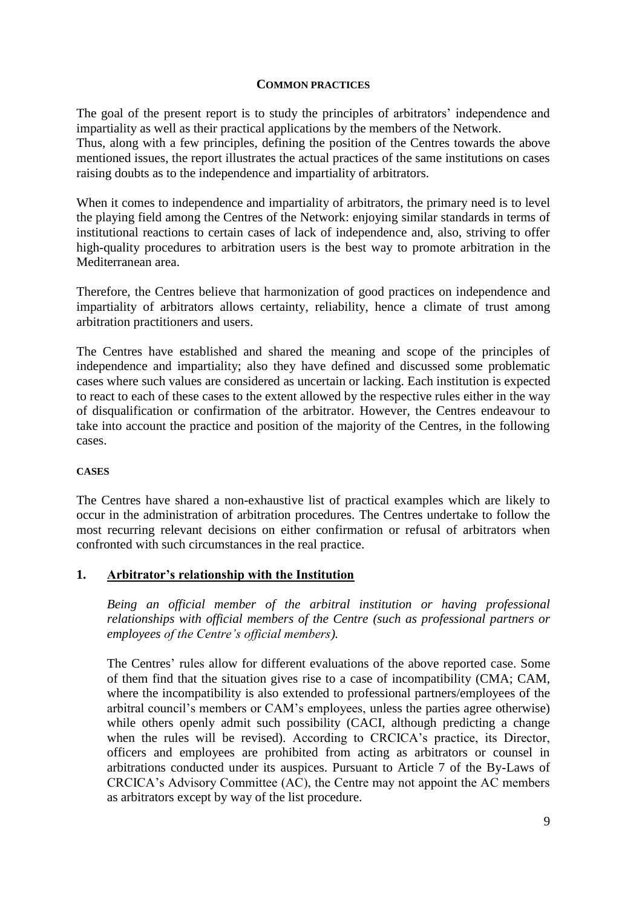#### **COMMON PRACTICES**

The goal of the present report is to study the principles of arbitrators' independence and impartiality as well as their practical applications by the members of the Network.

Thus, along with a few principles, defining the position of the Centres towards the above mentioned issues, the report illustrates the actual practices of the same institutions on cases raising doubts as to the independence and impartiality of arbitrators.

When it comes to independence and impartiality of arbitrators, the primary need is to level the playing field among the Centres of the Network: enjoying similar standards in terms of institutional reactions to certain cases of lack of independence and, also, striving to offer high-quality procedures to arbitration users is the best way to promote arbitration in the Mediterranean area.

Therefore, the Centres believe that harmonization of good practices on independence and impartiality of arbitrators allows certainty, reliability, hence a climate of trust among arbitration practitioners and users.

The Centres have established and shared the meaning and scope of the principles of independence and impartiality; also they have defined and discussed some problematic cases where such values are considered as uncertain or lacking. Each institution is expected to react to each of these cases to the extent allowed by the respective rules either in the way of disqualification or confirmation of the arbitrator. However, the Centres endeavour to take into account the practice and position of the majority of the Centres, in the following cases.

#### **CASES**

The Centres have shared a non-exhaustive list of practical examples which are likely to occur in the administration of arbitration procedures. The Centres undertake to follow the most recurring relevant decisions on either confirmation or refusal of arbitrators when confronted with such circumstances in the real practice.

#### **1. Arbitrator's relationship with the Institution**

*Being an official member of the arbitral institution or having professional relationships with official members of the Centre (such as professional partners or employees of the Centre's official members).*

The Centres' rules allow for different evaluations of the above reported case. Some of them find that the situation gives rise to a case of incompatibility (CMA; CAM, where the incompatibility is also extended to professional partners/employees of the arbitral council's members or CAM's employees, unless the parties agree otherwise) while others openly admit such possibility (CACI, although predicting a change when the rules will be revised). According to CRCICA's practice, its Director, officers and employees are prohibited from acting as arbitrators or counsel in arbitrations conducted under its auspices. Pursuant to Article 7 of the By-Laws of CRCICA's Advisory Committee (AC), the Centre may not appoint the AC members as arbitrators except by way of the list procedure.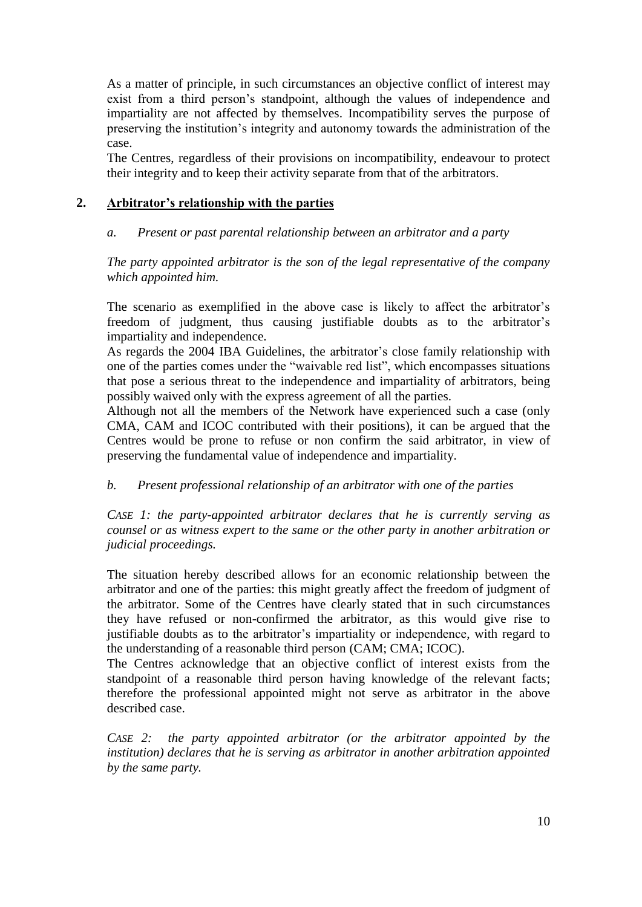As a matter of principle, in such circumstances an objective conflict of interest may exist from a third person's standpoint, although the values of independence and impartiality are not affected by themselves. Incompatibility serves the purpose of preserving the institution's integrity and autonomy towards the administration of the case.

The Centres, regardless of their provisions on incompatibility, endeavour to protect their integrity and to keep their activity separate from that of the arbitrators.

## **2. Arbitrator's relationship with the parties**

## *a. Present or past parental relationship between an arbitrator and a party*

*The party appointed arbitrator is the son of the legal representative of the company which appointed him.*

The scenario as exemplified in the above case is likely to affect the arbitrator's freedom of judgment, thus causing justifiable doubts as to the arbitrator's impartiality and independence.

As regards the 2004 IBA Guidelines, the arbitrator's close family relationship with one of the parties comes under the "waivable red list", which encompasses situations that pose a serious threat to the independence and impartiality of arbitrators, being possibly waived only with the express agreement of all the parties.

Although not all the members of the Network have experienced such a case (only CMA, CAM and ICOC contributed with their positions), it can be argued that the Centres would be prone to refuse or non confirm the said arbitrator, in view of preserving the fundamental value of independence and impartiality.

## *b. Present professional relationship of an arbitrator with one of the parties*

*CASE 1: the party-appointed arbitrator declares that he is currently serving as counsel or as witness expert to the same or the other party in another arbitration or judicial proceedings.*

The situation hereby described allows for an economic relationship between the arbitrator and one of the parties: this might greatly affect the freedom of judgment of the arbitrator. Some of the Centres have clearly stated that in such circumstances they have refused or non-confirmed the arbitrator, as this would give rise to justifiable doubts as to the arbitrator's impartiality or independence, with regard to the understanding of a reasonable third person (CAM; CMA; ICOC).

The Centres acknowledge that an objective conflict of interest exists from the standpoint of a reasonable third person having knowledge of the relevant facts; therefore the professional appointed might not serve as arbitrator in the above described case.

*CASE 2: the party appointed arbitrator (or the arbitrator appointed by the institution) declares that he is serving as arbitrator in another arbitration appointed by the same party.*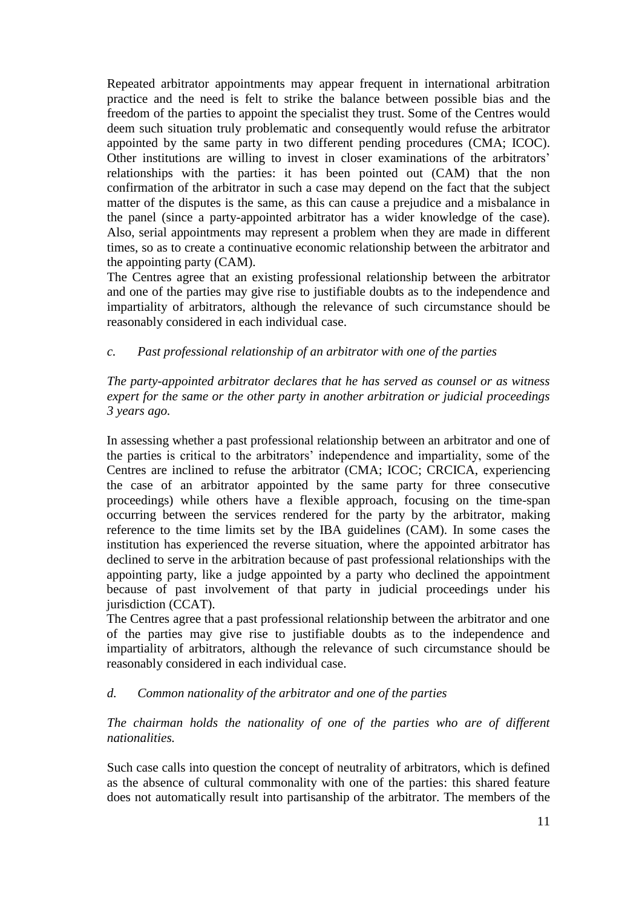Repeated arbitrator appointments may appear frequent in international arbitration practice and the need is felt to strike the balance between possible bias and the freedom of the parties to appoint the specialist they trust. Some of the Centres would deem such situation truly problematic and consequently would refuse the arbitrator appointed by the same party in two different pending procedures (CMA; ICOC). Other institutions are willing to invest in closer examinations of the arbitrators' relationships with the parties: it has been pointed out (CAM) that the non confirmation of the arbitrator in such a case may depend on the fact that the subject matter of the disputes is the same, as this can cause a prejudice and a misbalance in the panel (since a party-appointed arbitrator has a wider knowledge of the case). Also, serial appointments may represent a problem when they are made in different times, so as to create a continuative economic relationship between the arbitrator and the appointing party (CAM).

The Centres agree that an existing professional relationship between the arbitrator and one of the parties may give rise to justifiable doubts as to the independence and impartiality of arbitrators, although the relevance of such circumstance should be reasonably considered in each individual case.

## *c. Past professional relationship of an arbitrator with one of the parties*

*The party-appointed arbitrator declares that he has served as counsel or as witness expert for the same or the other party in another arbitration or judicial proceedings 3 years ago.* 

In assessing whether a past professional relationship between an arbitrator and one of the parties is critical to the arbitrators' independence and impartiality, some of the Centres are inclined to refuse the arbitrator (CMA; ICOC; CRCICA, experiencing the case of an arbitrator appointed by the same party for three consecutive proceedings) while others have a flexible approach, focusing on the time-span occurring between the services rendered for the party by the arbitrator, making reference to the time limits set by the IBA guidelines (CAM). In some cases the institution has experienced the reverse situation, where the appointed arbitrator has declined to serve in the arbitration because of past professional relationships with the appointing party, like a judge appointed by a party who declined the appointment because of past involvement of that party in judicial proceedings under his jurisdiction (CCAT).

The Centres agree that a past professional relationship between the arbitrator and one of the parties may give rise to justifiable doubts as to the independence and impartiality of arbitrators, although the relevance of such circumstance should be reasonably considered in each individual case.

#### *d. Common nationality of the arbitrator and one of the parties*

*The chairman holds the nationality of one of the parties who are of different nationalities.*

Such case calls into question the concept of neutrality of arbitrators, which is defined as the absence of cultural commonality with one of the parties: this shared feature does not automatically result into partisanship of the arbitrator. The members of the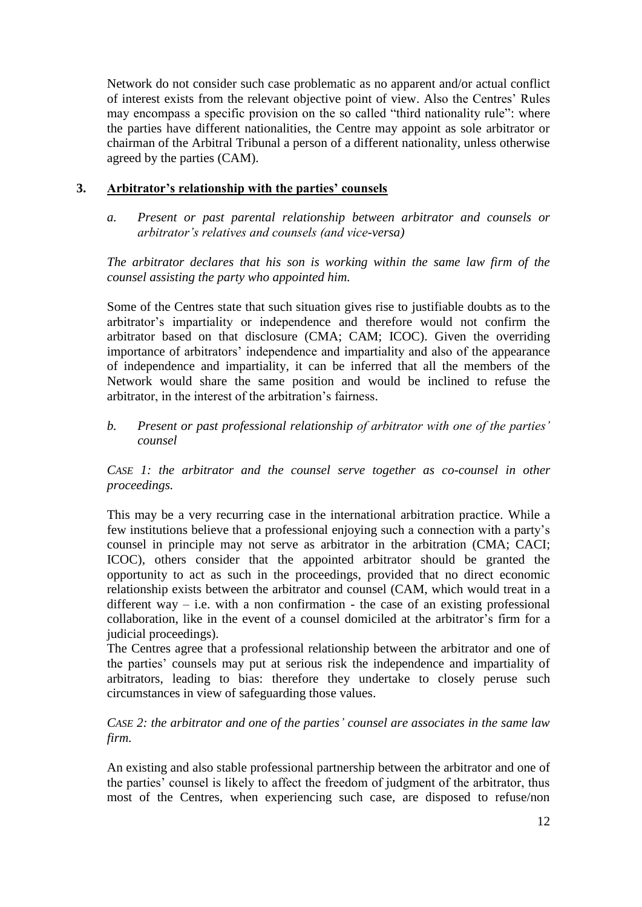Network do not consider such case problematic as no apparent and/or actual conflict of interest exists from the relevant objective point of view. Also the Centres' Rules may encompass a specific provision on the so called "third nationality rule": where the parties have different nationalities, the Centre may appoint as sole arbitrator or chairman of the Arbitral Tribunal a person of a different nationality, unless otherwise agreed by the parties (CAM).

## **3. Arbitrator's relationship with the parties' counsels**

*a. Present or past parental relationship between arbitrator and counsels or arbitrator's relatives and counsels (and vice-versa)* 

*The arbitrator declares that his son is working within the same law firm of the counsel assisting the party who appointed him.* 

Some of the Centres state that such situation gives rise to justifiable doubts as to the arbitrator's impartiality or independence and therefore would not confirm the arbitrator based on that disclosure (CMA; CAM; ICOC). Given the overriding importance of arbitrators' independence and impartiality and also of the appearance of independence and impartiality, it can be inferred that all the members of the Network would share the same position and would be inclined to refuse the arbitrator, in the interest of the arbitration's fairness.

## *b. Present or past professional relationship of arbitrator with one of the parties' counsel*

*CASE 1: the arbitrator and the counsel serve together as co-counsel in other proceedings.*

This may be a very recurring case in the international arbitration practice. While a few institutions believe that a professional enjoying such a connection with a party's counsel in principle may not serve as arbitrator in the arbitration (CMA; CACI; ICOC), others consider that the appointed arbitrator should be granted the opportunity to act as such in the proceedings, provided that no direct economic relationship exists between the arbitrator and counsel (CAM, which would treat in a different way  $-$  i.e. with a non confirmation  $-$  the case of an existing professional collaboration, like in the event of a counsel domiciled at the arbitrator's firm for a judicial proceedings).

The Centres agree that a professional relationship between the arbitrator and one of the parties' counsels may put at serious risk the independence and impartiality of arbitrators, leading to bias: therefore they undertake to closely peruse such circumstances in view of safeguarding those values.

*CASE 2: the arbitrator and one of the parties' counsel are associates in the same law firm.* 

An existing and also stable professional partnership between the arbitrator and one of the parties' counsel is likely to affect the freedom of judgment of the arbitrator, thus most of the Centres, when experiencing such case, are disposed to refuse/non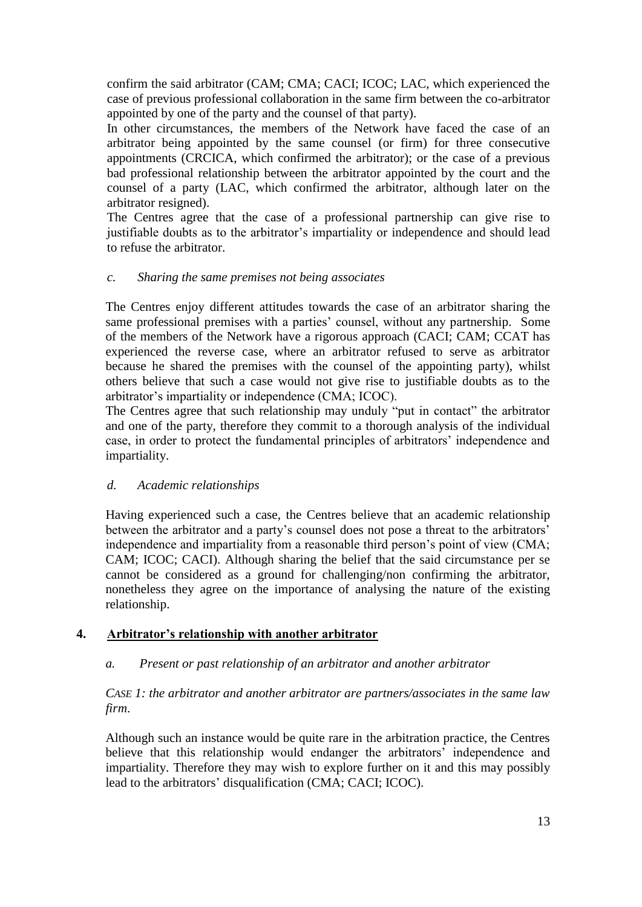confirm the said arbitrator (CAM; CMA; CACI; ICOC; LAC, which experienced the case of previous professional collaboration in the same firm between the co-arbitrator appointed by one of the party and the counsel of that party).

In other circumstances, the members of the Network have faced the case of an arbitrator being appointed by the same counsel (or firm) for three consecutive appointments (CRCICA, which confirmed the arbitrator); or the case of a previous bad professional relationship between the arbitrator appointed by the court and the counsel of a party (LAC, which confirmed the arbitrator, although later on the arbitrator resigned).

The Centres agree that the case of a professional partnership can give rise to justifiable doubts as to the arbitrator's impartiality or independence and should lead to refuse the arbitrator.

## *c. Sharing the same premises not being associates*

The Centres enjoy different attitudes towards the case of an arbitrator sharing the same professional premises with a parties' counsel, without any partnership. Some of the members of the Network have a rigorous approach (CACI; CAM; CCAT has experienced the reverse case, where an arbitrator refused to serve as arbitrator because he shared the premises with the counsel of the appointing party), whilst others believe that such a case would not give rise to justifiable doubts as to the arbitrator's impartiality or independence (CMA; ICOC).

The Centres agree that such relationship may unduly "put in contact" the arbitrator and one of the party, therefore they commit to a thorough analysis of the individual case, in order to protect the fundamental principles of arbitrators' independence and impartiality.

## *d. Academic relationships*

Having experienced such a case, the Centres believe that an academic relationship between the arbitrator and a party's counsel does not pose a threat to the arbitrators' independence and impartiality from a reasonable third person's point of view (CMA; CAM; ICOC; CACI). Although sharing the belief that the said circumstance per se cannot be considered as a ground for challenging/non confirming the arbitrator, nonetheless they agree on the importance of analysing the nature of the existing relationship.

#### **4. Arbitrator's relationship with another arbitrator**

## *a. Present or past relationship of an arbitrator and another arbitrator*

## *CASE 1: the arbitrator and another arbitrator are partners/associates in the same law firm*.

Although such an instance would be quite rare in the arbitration practice, the Centres believe that this relationship would endanger the arbitrators' independence and impartiality. Therefore they may wish to explore further on it and this may possibly lead to the arbitrators' disqualification (CMA; CACI; ICOC).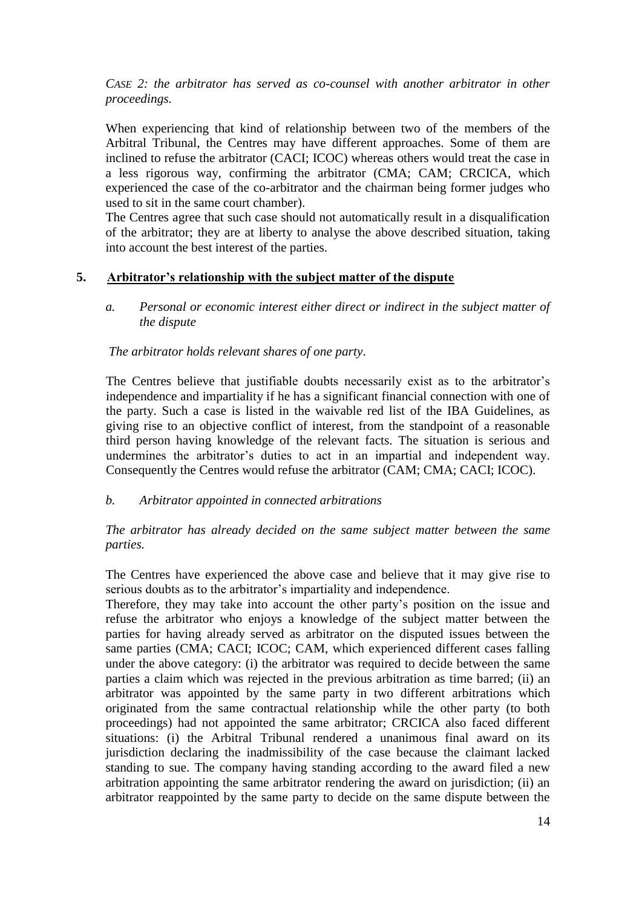## *CASE 2: the arbitrator has served as co-counsel with another arbitrator in other proceedings.*

When experiencing that kind of relationship between two of the members of the Arbitral Tribunal, the Centres may have different approaches. Some of them are inclined to refuse the arbitrator (CACI; ICOC) whereas others would treat the case in a less rigorous way, confirming the arbitrator (CMA; CAM; CRCICA, which experienced the case of the co-arbitrator and the chairman being former judges who used to sit in the same court chamber).

The Centres agree that such case should not automatically result in a disqualification of the arbitrator; they are at liberty to analyse the above described situation, taking into account the best interest of the parties.

## **5. Arbitrator's relationship with the subject matter of the dispute**

*a. Personal or economic interest either direct or indirect in the subject matter of the dispute*

## *The arbitrator holds relevant shares of one party*.

The Centres believe that justifiable doubts necessarily exist as to the arbitrator's independence and impartiality if he has a significant financial connection with one of the party. Such a case is listed in the waivable red list of the IBA Guidelines, as giving rise to an objective conflict of interest, from the standpoint of a reasonable third person having knowledge of the relevant facts. The situation is serious and undermines the arbitrator's duties to act in an impartial and independent way. Consequently the Centres would refuse the arbitrator (CAM; CMA; CACI; ICOC).

#### *b. Arbitrator appointed in connected arbitrations*

## *The arbitrator has already decided on the same subject matter between the same parties.*

The Centres have experienced the above case and believe that it may give rise to serious doubts as to the arbitrator's impartiality and independence.

Therefore, they may take into account the other party's position on the issue and refuse the arbitrator who enjoys a knowledge of the subject matter between the parties for having already served as arbitrator on the disputed issues between the same parties (CMA; CACI; ICOC; CAM, which experienced different cases falling under the above category: (i) the arbitrator was required to decide between the same parties a claim which was rejected in the previous arbitration as time barred; (ii) an arbitrator was appointed by the same party in two different arbitrations which originated from the same contractual relationship while the other party (to both proceedings) had not appointed the same arbitrator; CRCICA also faced different situations: (i) the Arbitral Tribunal rendered a unanimous final award on its jurisdiction declaring the inadmissibility of the case because the claimant lacked standing to sue. The company having standing according to the award filed a new arbitration appointing the same arbitrator rendering the award on jurisdiction; (ii) an arbitrator reappointed by the same party to decide on the same dispute between the